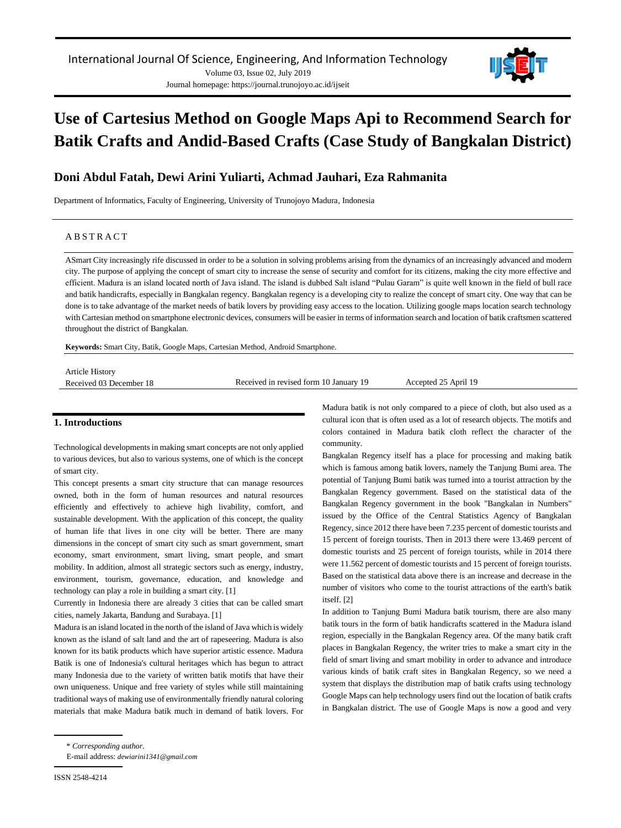

# **Use of Cartesius Method on Google Maps Api to Recommend Search for Batik Crafts and Andid-Based Crafts (Case Study of Bangkalan District)**

# **Doni Abdul Fatah, Dewi Arini Yuliarti, Achmad Jauhari, Eza Rahmanita**

Department of Informatics, Faculty of Engineering, University of Trunojoyo Madura, Indonesia

# A B S T R A C T

ASmart City increasingly rife discussed in order to be a solution in solving problems arising from the dynamics of an increasingly advanced and modern city. The purpose of applying the concept of smart city to increase the sense of security and comfort for its citizens, making the city more effective and efficient. Madura is an island located north of Java island. The island is dubbed Salt island "Pulau Garam" is quite well known in the field of bull race and batik handicrafts, especially in Bangkalan regency. Bangkalan regency is a developing city to realize the concept of smart city. One way that can be done is to take advantage of the market needs of batik lovers by providing easy access to the location. Utilizing google maps location search technology with Cartesian method on smartphone electronic devices, consumers will be easier in terms of information search and location of batik craftsmen scattered throughout the district of Bangkalan.

**Keywords:** Smart City, Batik, Google Maps, Cartesian Method, Android Smartphone.

| <b>Article History</b>  |                                        |                      |
|-------------------------|----------------------------------------|----------------------|
| Received 03 December 18 | Received in revised form 10 January 19 | Accepted 25 April 19 |
|                         |                                        |                      |

# **1. Introductions**

Technological developments in making smart concepts are not only applied to various devices, but also to various systems, one of which is the concept of smart city.

This concept presents a smart city structure that can manage resources owned, both in the form of human resources and natural resources efficiently and effectively to achieve high livability, comfort, and sustainable development. With the application of this concept, the quality of human life that lives in one city will be better. There are many dimensions in the concept of smart city such as smart government, smart economy, smart environment, smart living, smart people, and smart mobility. In addition, almost all strategic sectors such as energy, industry, environment, tourism, governance, education, and knowledge and technology can play a role in building a smart city. [1]

Currently in Indonesia there are already 3 cities that can be called smart cities, namely Jakarta, Bandung and Surabaya. [1]

Madura is an island located in the north of the island of Java which is widely known as the island of salt land and the art of rapeseering. Madura is also known for its batik products which have superior artistic essence. Madura Batik is one of Indonesia's cultural heritages which has begun to attract many Indonesia due to the variety of written batik motifs that have their own uniqueness. Unique and free variety of styles while still maintaining traditional ways of making use of environmentally friendly natural coloring materials that make Madura batik much in demand of batik lovers. For Madura batik is not only compared to a piece of cloth, but also used as a cultural icon that is often used as a lot of research objects. The motifs and colors contained in Madura batik cloth reflect the character of the community.

Bangkalan Regency itself has a place for processing and making batik which is famous among batik lovers, namely the Tanjung Bumi area. The potential of Tanjung Bumi batik was turned into a tourist attraction by the Bangkalan Regency government. Based on the statistical data of the Bangkalan Regency government in the book "Bangkalan in Numbers" issued by the Office of the Central Statistics Agency of Bangkalan Regency, since 2012 there have been 7.235 percent of domestic tourists and 15 percent of foreign tourists. Then in 2013 there were 13.469 percent of domestic tourists and 25 percent of foreign tourists, while in 2014 there were 11.562 percent of domestic tourists and 15 percent of foreign tourists. Based on the statistical data above there is an increase and decrease in the number of visitors who come to the tourist attractions of the earth's batik itself. [2]

In addition to Tanjung Bumi Madura batik tourism, there are also many batik tours in the form of batik handicrafts scattered in the Madura island region, especially in the Bangkalan Regency area. Of the many batik craft places in Bangkalan Regency, the writer tries to make a smart city in the field of smart living and smart mobility in order to advance and introduce various kinds of batik craft sites in Bangkalan Regency, so we need a system that displays the distribution map of batik crafts using technology Google Maps can help technology users find out the location of batik crafts in Bangkalan district. The use of Google Maps is now a good and very

<sup>\*</sup> *Corresponding author.*

E-mail address: *[dewiarini1341@gmail.com](mailto:dewiarini1341@gmail.com)*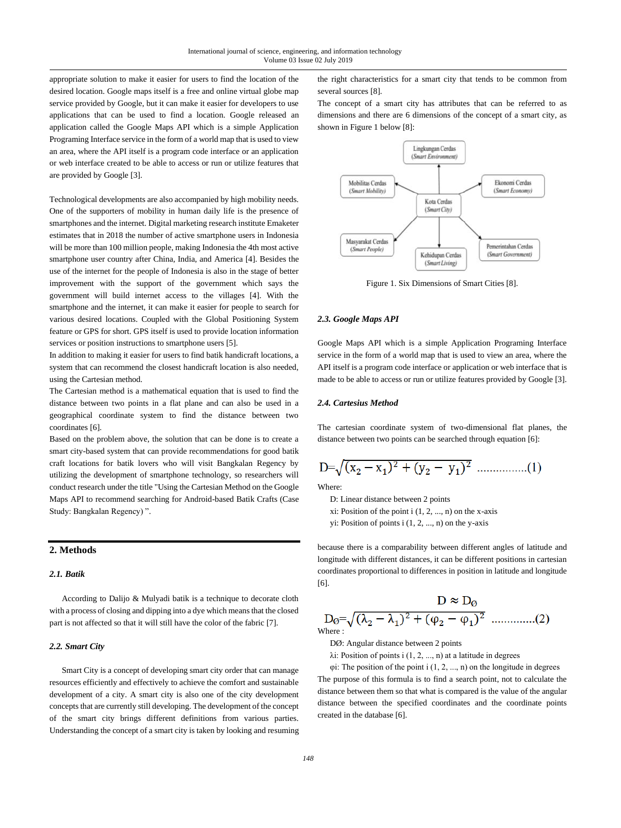appropriate solution to make it easier for users to find the location of the desired location. Google maps itself is a free and online virtual globe map service provided by Google, but it can make it easier for developers to use applications that can be used to find a location. Google released an application called the Google Maps API which is a simple Application Programing Interface service in the form of a world map that is used to view an area, where the API itself is a program code interface or an application or web interface created to be able to access or run or utilize features that are provided by Google [3].

Technological developments are also accompanied by high mobility needs. One of the supporters of mobility in human daily life is the presence of smartphones and the internet. Digital marketing research institute Emaketer estimates that in 2018 the number of active smartphone users in Indonesia will be more than 100 million people, making Indonesia the 4th most active smartphone user country after China, India, and America [4]. Besides the use of the internet for the people of Indonesia is also in the stage of better improvement with the support of the government which says the government will build internet access to the villages [4]. With the smartphone and the internet, it can make it easier for people to search for various desired locations. Coupled with the Global Positioning System feature or GPS for short. GPS itself is used to provide location information services or position instructions to smartphone users [5].

In addition to making it easier for users to find batik handicraft locations, a system that can recommend the closest handicraft location is also needed, using the Cartesian method.

The Cartesian method is a mathematical equation that is used to find the distance between two points in a flat plane and can also be used in a geographical coordinate system to find the distance between two coordinates [6].

Based on the problem above, the solution that can be done is to create a smart city-based system that can provide recommendations for good batik craft locations for batik lovers who will visit Bangkalan Regency by utilizing the development of smartphone technology, so researchers will conduct research under the title "Using the Cartesian Method on the Google Maps API to recommend searching for Android-based Batik Crafts (Case Study: Bangkalan Regency) ".

# **2. Methods**

# *2.1. Batik*

According to Dalijo & Mulyadi batik is a technique to decorate cloth with a process of closing and dipping into a dye which means that the closed part is not affected so that it will still have the color of the fabric [7].

## *2.2. Smart City*

Smart City is a concept of developing smart city order that can manage resources efficiently and effectively to achieve the comfort and sustainable development of a city. A smart city is also one of the city development concepts that are currently still developing. The development of the concept of the smart city brings different definitions from various parties. Understanding the concept of a smart city is taken by looking and resuming the right characteristics for a smart city that tends to be common from several sources [8].

The concept of a smart city has attributes that can be referred to as dimensions and there are 6 dimensions of the concept of a smart city, as shown in Figure 1 below [8]:



Figure 1. Six Dimensions of Smart Cities [8].

#### *2.3. Google Maps API*

Google Maps API which is a simple Application Programing Interface service in the form of a world map that is used to view an area, where the API itself is a program code interface or application or web interface that is made to be able to access or run or utilize features provided by Google [3].

## *2.4. Cartesius Method*

The cartesian coordinate system of two-dimensional flat planes, the distance between two points can be searched through equation [6]:

$$
D = \sqrt{(x_2 - x_1)^2 + (y_2 - y_1)^2}
$$
............(1)

Where:

- D: Linear distance between 2 points
- xi: Position of the point  $i$   $(1, 2, ..., n)$  on the x-axis
- yi: Position of points  $i$   $(1, 2, ..., n)$  on the y-axis

because there is a comparability between different angles of latitude and longitude with different distances, it can be different positions in cartesian coordinates proportional to differences in position in latitude and longitude [6].

$$
D \approx D_{\odot}
$$
  
 
$$
D_{\odot} = \sqrt{(\lambda_2 - \lambda_1)^2 + (\varphi_2 - \varphi_1)^2}
$$
 ....... (2)  
Where:

DØ: Angular distance between 2 points

λi: Position of points i (1, 2, ..., n) at a latitude in degrees

φi: The position of the point i (1, 2, ..., n) on the longitude in degrees

The purpose of this formula is to find a search point, not to calculate the distance between them so that what is compared is the value of the angular distance between the specified coordinates and the coordinate points created in the database [6].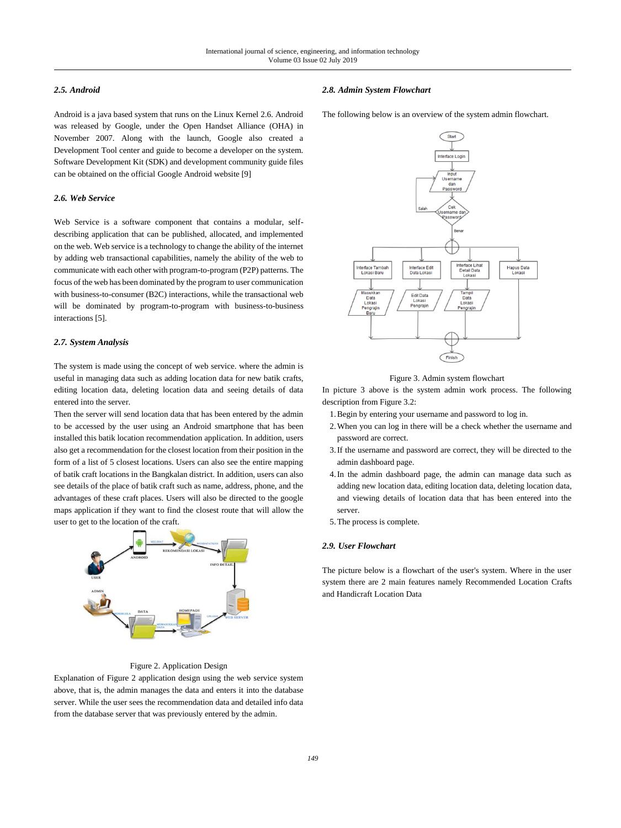# *2.5. Android*

Android is a java based system that runs on the Linux Kernel 2.6. Android was released by Google, under the Open Handset Alliance (OHA) in November 2007. Along with the launch, Google also created a Development Tool center and guide to become a developer on the system. Software Development Kit (SDK) and development community guide files can be obtained on the official Google Android website [9]

# *2.6. Web Service*

Web Service is a software component that contains a modular, selfdescribing application that can be published, allocated, and implemented on the web. Web service is a technology to change the ability of the internet by adding web transactional capabilities, namely the ability of the web to communicate with each other with program-to-program (P2P) patterns. The focus of the web has been dominated by the program to user communication with business-to-consumer (B2C) interactions, while the transactional web will be dominated by program-to-program with business-to-business interactions [5].

#### *2.7. System Analysis*

The system is made using the concept of web service. where the admin is useful in managing data such as adding location data for new batik crafts, editing location data, deleting location data and seeing details of data entered into the server.

Then the server will send location data that has been entered by the admin to be accessed by the user using an Android smartphone that has been installed this batik location recommendation application. In addition, users also get a recommendation for the closest location from their position in the form of a list of 5 closest locations. Users can also see the entire mapping of batik craft locations in the Bangkalan district. In addition, users can also see details of the place of batik craft such as name, address, phone, and the advantages of these craft places. Users will also be directed to the google maps application if they want to find the closest route that will allow the user to get to the location of the craft.



# Figure 2. Application Design

Explanation of Figure 2 application design using the web service system above, that is, the admin manages the data and enters it into the database server. While the user sees the recommendation data and detailed info data from the database server that was previously entered by the admin.

#### *2.8. Admin System Flowchart*

The following below is an overview of the system admin flowchart.



Figure 3. Admin system flowchart

In picture 3 above is the system admin work process. The following description from Figure 3.2:

- 1.Begin by entering your username and password to log in.
- 2.When you can log in there will be a check whether the username and password are correct.
- 3.If the username and password are correct, they will be directed to the admin dashboard page.
- 4.In the admin dashboard page, the admin can manage data such as adding new location data, editing location data, deleting location data, and viewing details of location data that has been entered into the server.
- 5.The process is complete.

# *2.9. User Flowchart*

The picture below is a flowchart of the user's system. Where in the user system there are 2 main features namely Recommended Location Crafts and Handicraft Location Data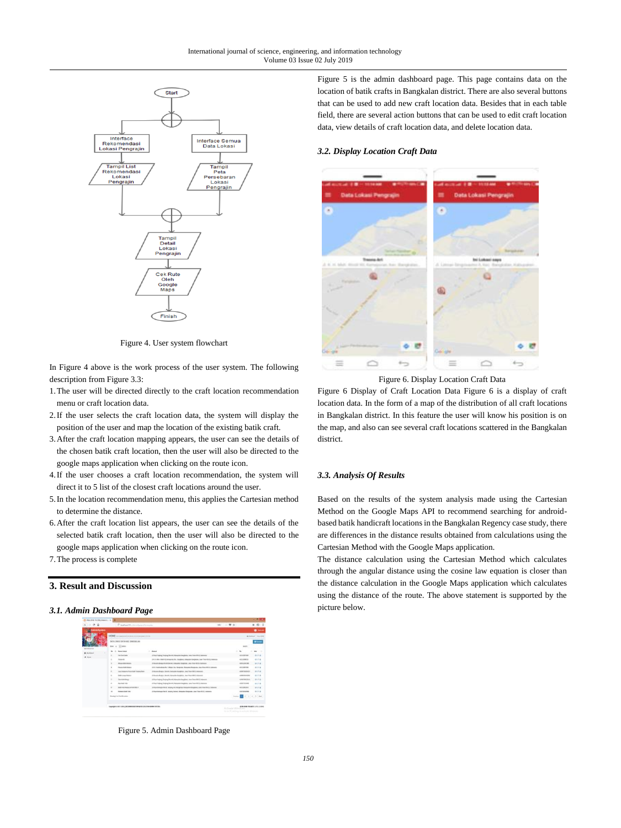

Figure 4. User system flowchart

In Figure 4 above is the work process of the user system. The following description from Figure 3.3:

- 1.The user will be directed directly to the craft location recommendation menu or craft location data.
- 2.If the user selects the craft location data, the system will display the position of the user and map the location of the existing batik craft.
- 3.After the craft location mapping appears, the user can see the details of the chosen batik craft location, then the user will also be directed to the google maps application when clicking on the route icon.
- 4.If the user chooses a craft location recommendation, the system will direct it to 5 list of the closest craft locations around the user.
- 5.In the location recommendation menu, this applies the Cartesian method to determine the distance.
- 6.After the craft location list appears, the user can see the details of the selected batik craft location, then the user will also be directed to the google maps application when clicking on the route icon.
- 7.The process is complete

# **3. Result and Discussion**

# *3.1. Admin Dashboard Page*



Figure 5. Admin Dashboard Page

Figure 5 is the admin dashboard page. This page contains data on the location of batik crafts in Bangkalan district. There are also several buttons that can be used to add new craft location data. Besides that in each table field, there are several action buttons that can be used to edit craft location data, view details of craft location data, and delete location data.

# *3.2. Display Location Craft Data*



Figure 6. Display Location Craft Data

Figure 6 Display of Craft Location Data Figure 6 is a display of craft location data. In the form of a map of the distribution of all craft locations in Bangkalan district. In this feature the user will know his position is on the map, and also can see several craft locations scattered in the Bangkalan district.

# *3.3. Analysis Of Results*

Based on the results of the system analysis made using the Cartesian Method on the Google Maps API to recommend searching for androidbased batik handicraft locations in the Bangkalan Regency case study, there are differences in the distance results obtained from calculations using the Cartesian Method with the Google Maps application.

The distance calculation using the Cartesian Method which calculates through the angular distance using the cosine law equation is closer than the distance calculation in the Google Maps application which calculates using the distance of the route. The above statement is supported by the picture below.